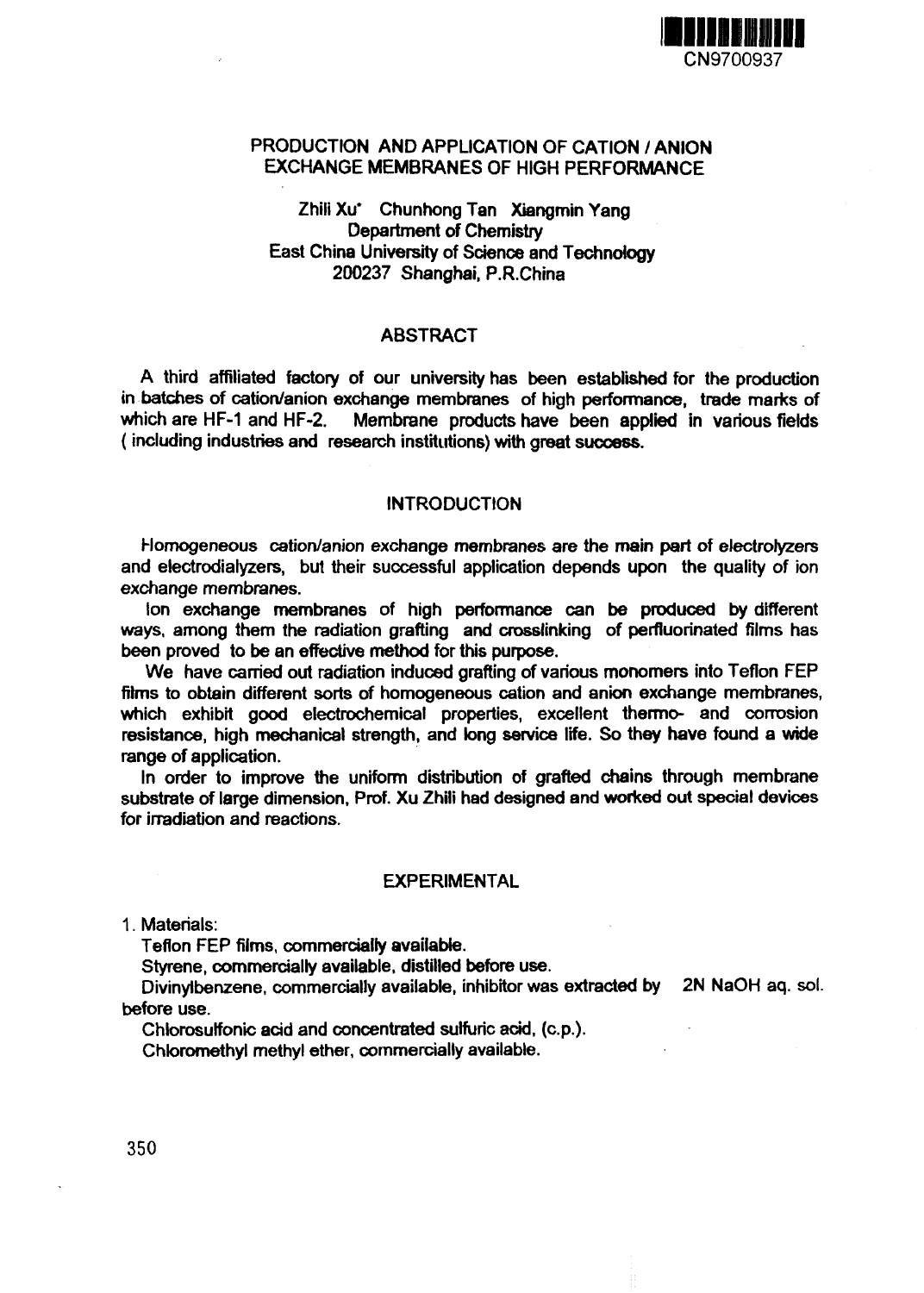

# PRODUCTION AND APPLICATION OF CATION / ANION EXCHANGE MEMBRANES OF HIGH PERFORMANCE

# Zhili Xu<sup>+</sup> Chunhong Tan Xiangmin Yang Department of Chemistry East China University of Science and Technology 200237 Shanghai, P.R.China

## ABSTRACT

A third affiliated factory of our university has been established for the production in batches of cation/anion exchange membranes of high performance, trade marks of which are HF-1 and HF-2. Membrane products have been applied in various fields (including industries and research institutions) with great success.

#### **INTRODUCTION**

Homogeneous cation/anion exchange membranes are the main part of electrolyzers and electrodialyzers, but their successful application depends upon the quality of ion exchange membranes.

Ion exchange membranes of high performance can be produced by different ways, among them the radiation grafting and crosslinking of perfiuorinated films has been proved to be an effective method for this purpose.

We have carried out radiation induced grafting of various monomers into Teflon FEP films to obtain different sorts of homogeneous cation and anion exchange membranes, which exhibit good electrochemical properties, excellent thermo- and corrosion resistance, high mechanical strength, and long service life. So they have found a wide range of application.

In order to improve the uniform distribution of grafted chains through membrane substrate of large dimension, Prof. Xu Zhili had designed and worked out special devices for irradiation and reactions.

#### EXPERIMENTAL

1. Materials:

Teflon FEP films, commercially available.

Styrene, commercially available, distilled before use.

Divinylbenzene, commercially available, inhibitor was extracted by 2N NaOH aq. sol. before use.

Chlorosulfonic acid and concentrated sulfuric acid, (c.p.).

Chloromethyl methyl ether, commercially available.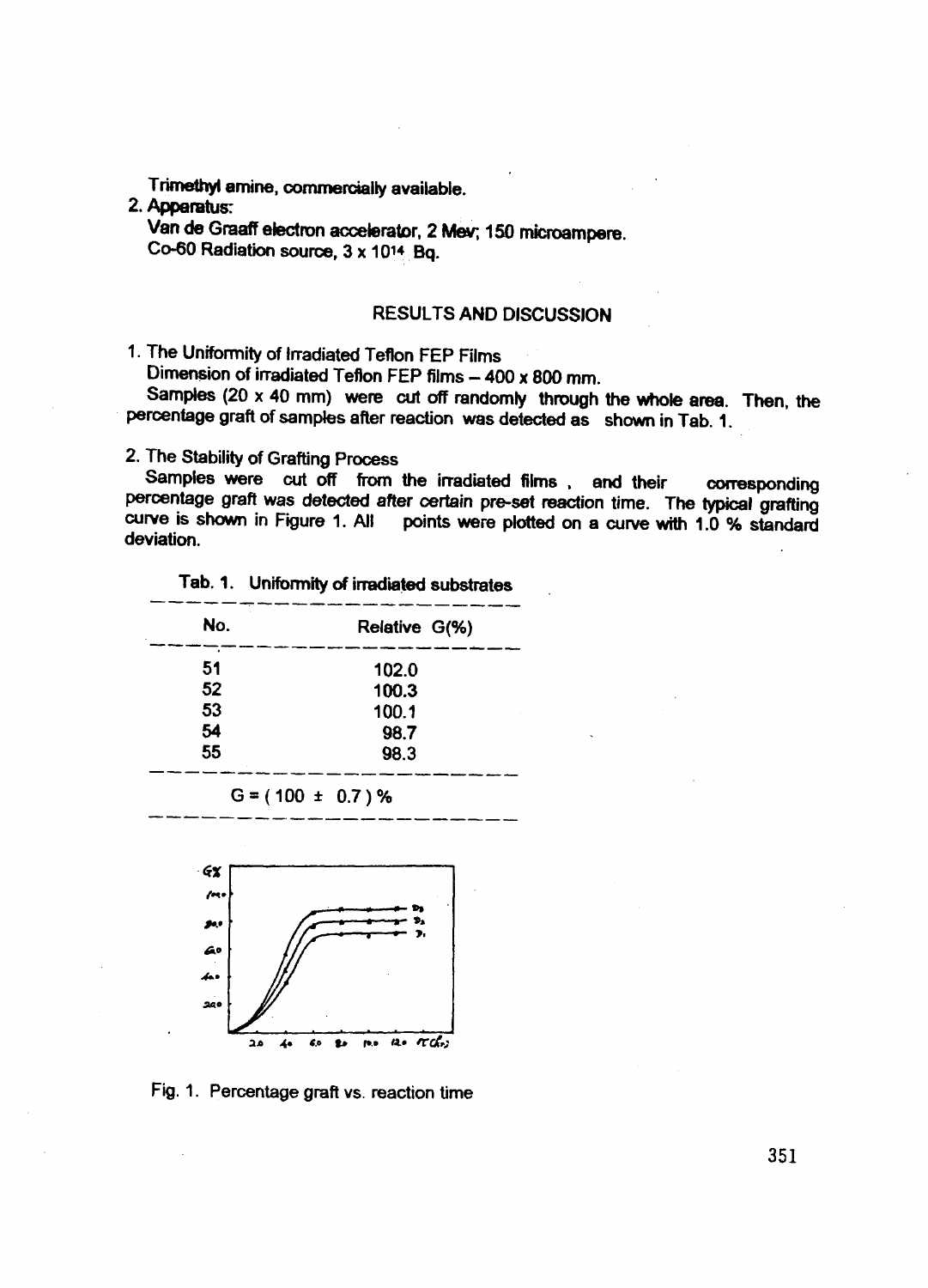Trimetnyi amine, commercially available.

# 2. **Apparatus:**

Van **de** Graaff etectron accelerator, 2 Mev; 150 microampere. Co-60 Radiation source,  $3 \times 10^{14}$  Bq.

# RESULTS AND DISCUSSION

1. The Uniformity of Irradiated Teflon FEP Films

Dimension of irradiated Teflon FEP films - 400 x 800 mm.

Samples  $(20 \times 40 \text{ mm})$  were cut off randomly through the whole area. Then, the percentage graft of samples after reaction was detected as shown in Tab. 1.

2. The Stability of Grafting Process

Samples were cut off from the irradiated films , and their corresponding percentage graft was detected after certain pre-set reaction time. The typical grafting curve is shown in Figure 1. All points were plotted on a curve with 1.0 % standard deviation.

| Relative G(%) |
|---------------|
| 102.0         |
| 100.3         |
| 100.1         |
| 98.7          |
| 98.3          |
|               |

$$
G = (100 \pm 0.7) \%
$$



Fig. 1. Percentage graft vs. reaction time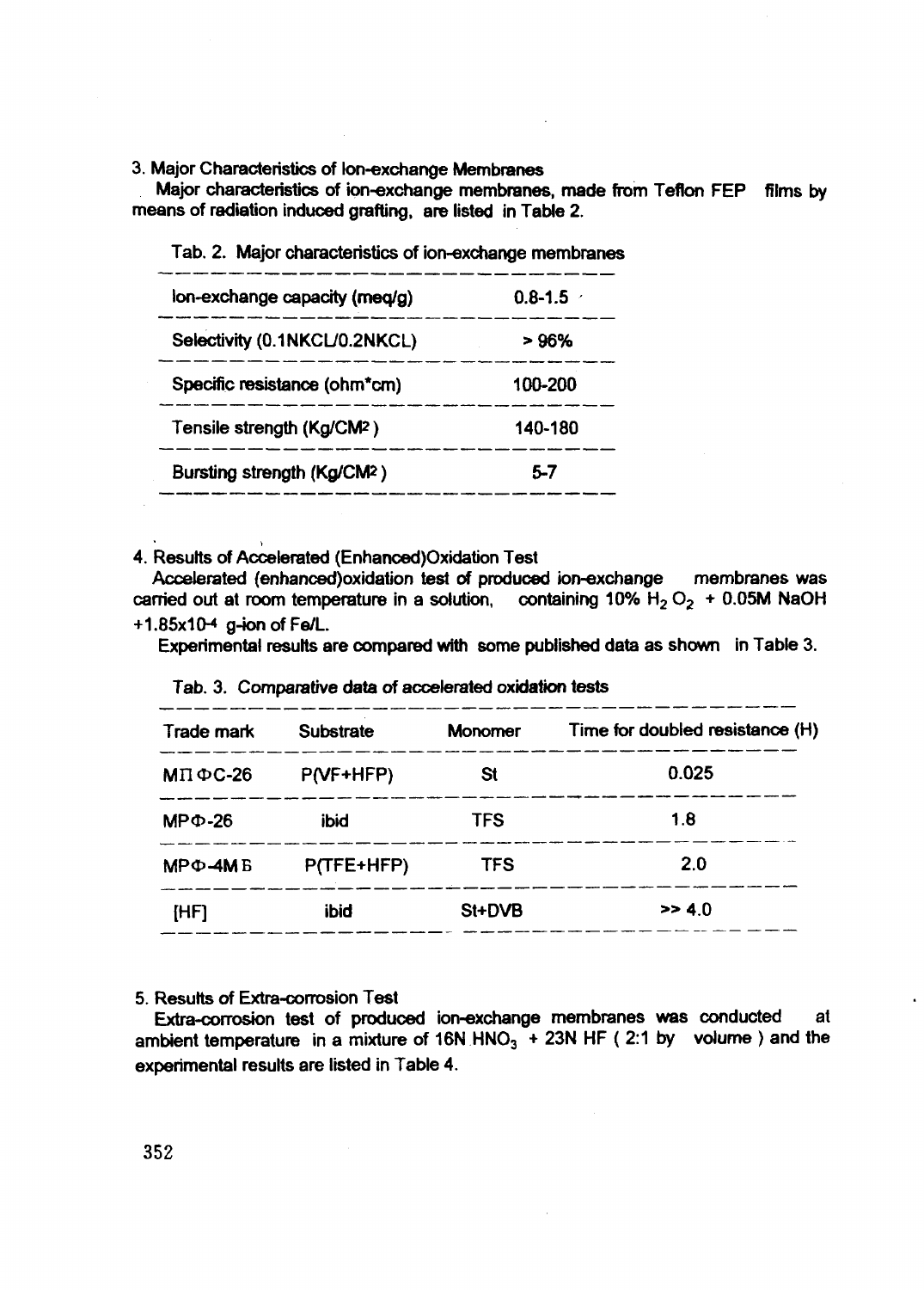3. Major Characteristics of Ion-exchange Membranes

Major characteristics of ion-exchange membranes, made from Teflon FEP films by means of radiation induced grafting, are listed in Table 2.

| $0.8 - 1.5$ |
|-------------|
| > 96%       |
| 100-200     |
| 140-180     |
| 5.7         |
|             |

Tab. 2. Major characteristics of ion-exchange membranes

4. Results of Accelerated (Enhanced)Oxidation Test

Accelerated (enhanced)oxidation test of produced ion-exchange membranes was carried out at room temperature in a solution, containing 10%  $H_2 O_2 + 0.05M$  NaOH  $+1.85x10-4$  g-ion of Fe/L.

Experimental results are compared with some published data as shown in Table 3.

| Trade mark    | <b>Substrate</b> | <b>Monomer</b> | Time for doubled resistance (H) |  |  |
|---------------|------------------|----------------|---------------------------------|--|--|
| $MT\Phi C-26$ | $P(VF+HFP)$      | St             | 0.025                           |  |  |
| $MPΦ - 26$    | <b>ibid</b>      | <b>TFS</b>     | 1.8                             |  |  |
| $MP\Phi$ -4MB | P(TFE+HFP)       | <b>TFS</b>     | 2.0                             |  |  |
| [HF]          | ibid             | St+DVB         | >> 4.0                          |  |  |

|  |  |  |  |  | Tab. 3. Comparative data of accelerated oxidation tests |  |  |
|--|--|--|--|--|---------------------------------------------------------|--|--|
|--|--|--|--|--|---------------------------------------------------------|--|--|

### 5. Results of Extra-corrosion Test

Extra-corrosion test of produced ion-exchange membranes was conducted at ambient temperature in a mixture of 16N HNO<sub>3</sub> + 23N HF ( 2:1 by volume ) and the experimental results are listed in Table 4.